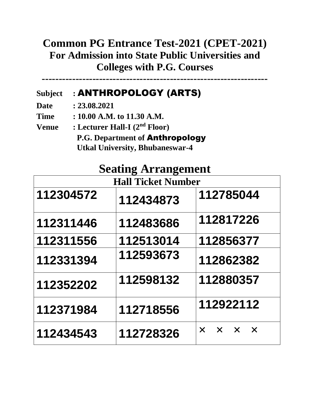## **Common PG Entrance Test-2021 (CPET-2021) For Admission into State Public Universities and Colleges with P.G. Courses**

**-------------------------------------------------------------------**

#### **Subject :** ANTHROPOLOGY (ARTS)

**Date : 23.08.2021**

**Time : 10.00 A.M. to 11.30 A.M.**

**Venue : Lecturer Hall-I (2nd Floor) P.G. Department of** Anthropology  **Utkal University, Bhubaneswar-4**

## **Seating Arrangement**

|           | <b>Hall Ticket Number</b> |                                     |  |
|-----------|---------------------------|-------------------------------------|--|
| 112304572 | 112434873                 | 112785044                           |  |
| 112311446 | 112483686                 | 112817226                           |  |
| 112311556 | 112513014                 | 112856377                           |  |
| 112331394 | 112593673                 | 112862382                           |  |
| 112352202 | 112598132                 | 112880357                           |  |
| 112371984 | 112718556                 | 112922112                           |  |
| 112434543 | 112728326                 | $\times$ $\times$ $\times$ $\times$ |  |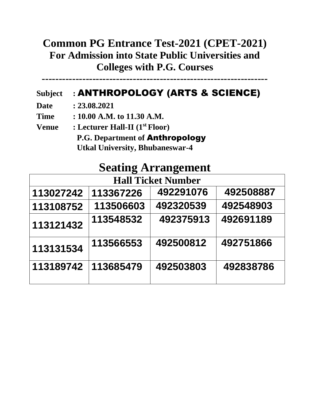## **Common PG Entrance Test-2021 (CPET-2021) For Admission into State Public Universities and Colleges with P.G. Courses**

**-------------------------------------------------------------------**

#### **Subject :** ANTHROPOLOGY (ARTS & SCIENCE)

**Date : 23.08.2021**

**Time : 10.00 A.M. to 11.30 A.M.**

**Venue : Lecturer Hall-II (1st Floor) P.G. Department of** Anthropology  **Utkal University, Bhubaneswar-4**

# **Seating Arrangement**

| <b>Hall Ticket Number</b> |           |           |           |  |  |
|---------------------------|-----------|-----------|-----------|--|--|
| 113027242                 | 113367226 | 492291076 | 492508887 |  |  |
| 113108752                 | 113506603 | 492320539 | 492548903 |  |  |
| 113121432                 | 113548532 | 492375913 | 492691189 |  |  |
| 113131534                 | 113566553 | 492500812 | 492751866 |  |  |
| 113189742                 | 113685479 | 492503803 | 492838786 |  |  |